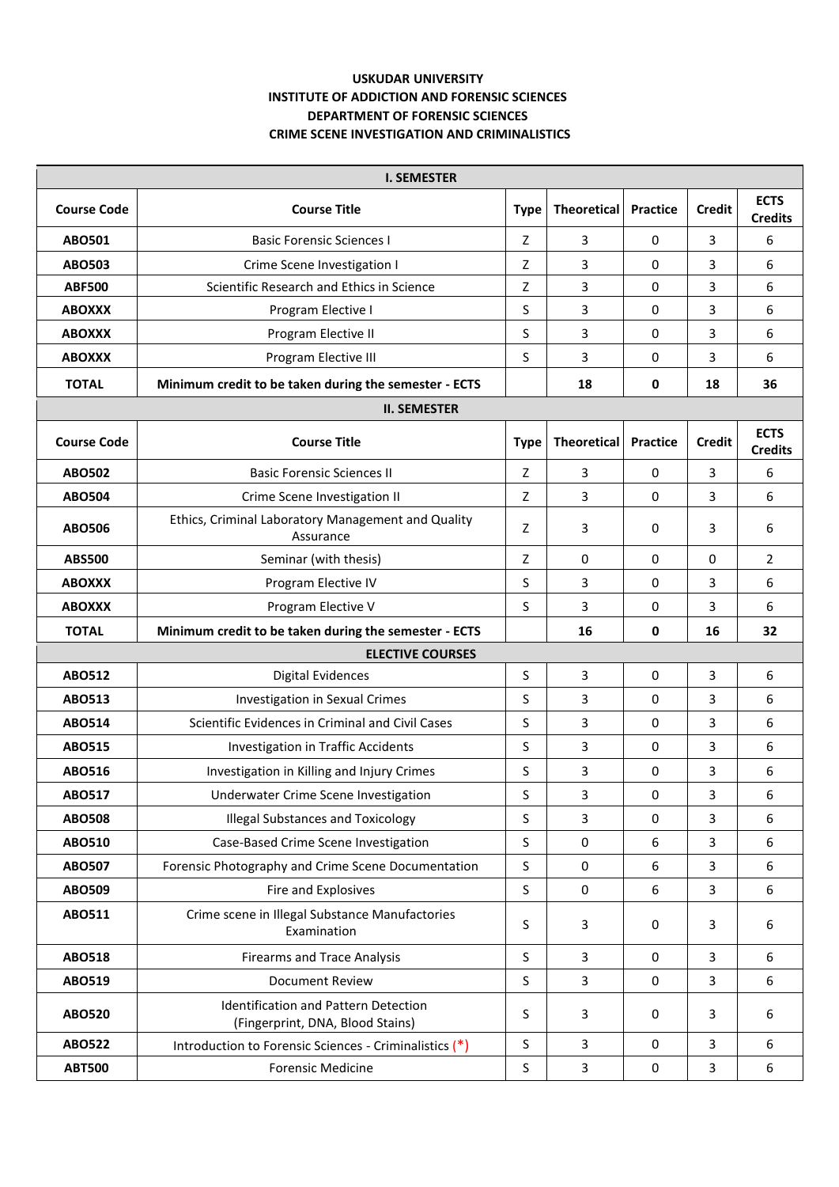## **USKUDAR UNIVERSITY INSTITUTE OF ADDICTION AND FORENSIC SCIENCES DEPARTMENT OF FORENSIC SCIENCES CRIME SCENE INVESTIGATION AND CRIMINALISTICS**

| <b>I. SEMESTER</b>      |                                                                          |             |                    |                 |               |                               |  |  |  |  |
|-------------------------|--------------------------------------------------------------------------|-------------|--------------------|-----------------|---------------|-------------------------------|--|--|--|--|
| <b>Course Code</b>      | <b>Course Title</b>                                                      | <b>Type</b> | <b>Theoretical</b> | <b>Practice</b> | <b>Credit</b> | <b>ECTS</b><br><b>Credits</b> |  |  |  |  |
| ABO501                  | <b>Basic Forensic Sciences I</b>                                         | Z           | 3                  | 0               | 3             | 6                             |  |  |  |  |
| ABO503                  | Crime Scene Investigation I                                              | Z           | 3                  | 0               | 3             | 6                             |  |  |  |  |
| <b>ABF500</b>           | Scientific Research and Ethics in Science                                | Ζ           | 3                  | 0               | 3             | 6                             |  |  |  |  |
| <b>ABOXXX</b>           | Program Elective I                                                       | S           | 3                  | 0               | 3             | 6                             |  |  |  |  |
| <b>ABOXXX</b>           | Program Elective II                                                      | S           | 3                  | 0               | 3             | 6                             |  |  |  |  |
| <b>ABOXXX</b>           | Program Elective III                                                     | S           | 3                  | 0               | 3             | 6                             |  |  |  |  |
| <b>TOTAL</b>            | Minimum credit to be taken during the semester - ECTS                    |             | 18                 | 0               | 18            | 36                            |  |  |  |  |
|                         | <b>II. SEMESTER</b>                                                      |             |                    |                 |               |                               |  |  |  |  |
| <b>Course Code</b>      | <b>Course Title</b>                                                      | <b>Type</b> | <b>Theoretical</b> | <b>Practice</b> | <b>Credit</b> | <b>ECTS</b><br><b>Credits</b> |  |  |  |  |
| <b>ABO502</b>           | <b>Basic Forensic Sciences II</b>                                        | Z           | 3                  | 0               | 3             | 6                             |  |  |  |  |
| <b>ABO504</b>           | Crime Scene Investigation II                                             | Ζ           | 3                  | 0               | 3             | 6                             |  |  |  |  |
| <b>ABO506</b>           | Ethics, Criminal Laboratory Management and Quality<br>Assurance          | Z           | 3                  | 0               | 3             | 6                             |  |  |  |  |
| <b>ABS500</b>           | Seminar (with thesis)                                                    | Z           | 0                  | 0               | 0             | 2                             |  |  |  |  |
| <b>ABOXXX</b>           | Program Elective IV                                                      | S           | 3                  | 0               | 3             | 6                             |  |  |  |  |
| <b>ABOXXX</b>           | Program Elective V                                                       | S           | 3                  | 0               | 3             | 6                             |  |  |  |  |
| <b>TOTAL</b>            | Minimum credit to be taken during the semester - ECTS                    |             | 16                 | 0               | 16            | 32                            |  |  |  |  |
| <b>ELECTIVE COURSES</b> |                                                                          |             |                    |                 |               |                               |  |  |  |  |
| <b>ABO512</b>           | <b>Digital Evidences</b>                                                 | S           | 3                  | 0               | 3             | 6                             |  |  |  |  |
| <b>ABO513</b>           | Investigation in Sexual Crimes                                           | S           | 3                  | 0               | 3             | 6                             |  |  |  |  |
| <b>ABO514</b>           | Scientific Evidences in Criminal and Civil Cases                         | S           | 3                  | 0               | 3             | 6                             |  |  |  |  |
| <b>ABO515</b>           | Investigation in Traffic Accidents                                       | S           | 3                  | 0               | 3             | 6                             |  |  |  |  |
| <b>ABO516</b>           | Investigation in Killing and Injury Crimes                               | S           | 3                  | 0               | 3             | 6                             |  |  |  |  |
| ABO517                  | Underwater Crime Scene Investigation                                     | S           | 3                  | 0               | 3             | 6                             |  |  |  |  |
| <b>ABO508</b>           | <b>Illegal Substances and Toxicology</b>                                 | S           | 3                  | 0               | 3             | 6                             |  |  |  |  |
| <b>ABO510</b>           | Case-Based Crime Scene Investigation                                     | S           | 0                  | 6               | 3             | 6                             |  |  |  |  |
| ABO507                  | Forensic Photography and Crime Scene Documentation                       | S           | $\mathbf 0$        | 6               | 3             | 6                             |  |  |  |  |
| <b>ABO509</b>           | Fire and Explosives                                                      | S           | $\pmb{0}$          | 6               | 3             | 6                             |  |  |  |  |
| <b>ABO511</b>           | Crime scene in Illegal Substance Manufactories<br>Examination            | S           | 3                  | 0               | 3             | 6                             |  |  |  |  |
| <b>ABO518</b>           | <b>Firearms and Trace Analysis</b>                                       | S           | 3                  | 0               | 3             | 6                             |  |  |  |  |
| ABO519                  | <b>Document Review</b>                                                   | S           | 3                  | 0               | 3             | 6                             |  |  |  |  |
| <b>ABO520</b>           | Identification and Pattern Detection<br>(Fingerprint, DNA, Blood Stains) | S           | 3                  | 0               | 3             | 6                             |  |  |  |  |
| <b>ABO522</b>           | Introduction to Forensic Sciences - Criminalistics (*)                   | S           | 3                  | 0               | 3             | 6                             |  |  |  |  |
| <b>ABT500</b>           | <b>Forensic Medicine</b>                                                 | S           | 3                  | 0               | 3             | 6                             |  |  |  |  |